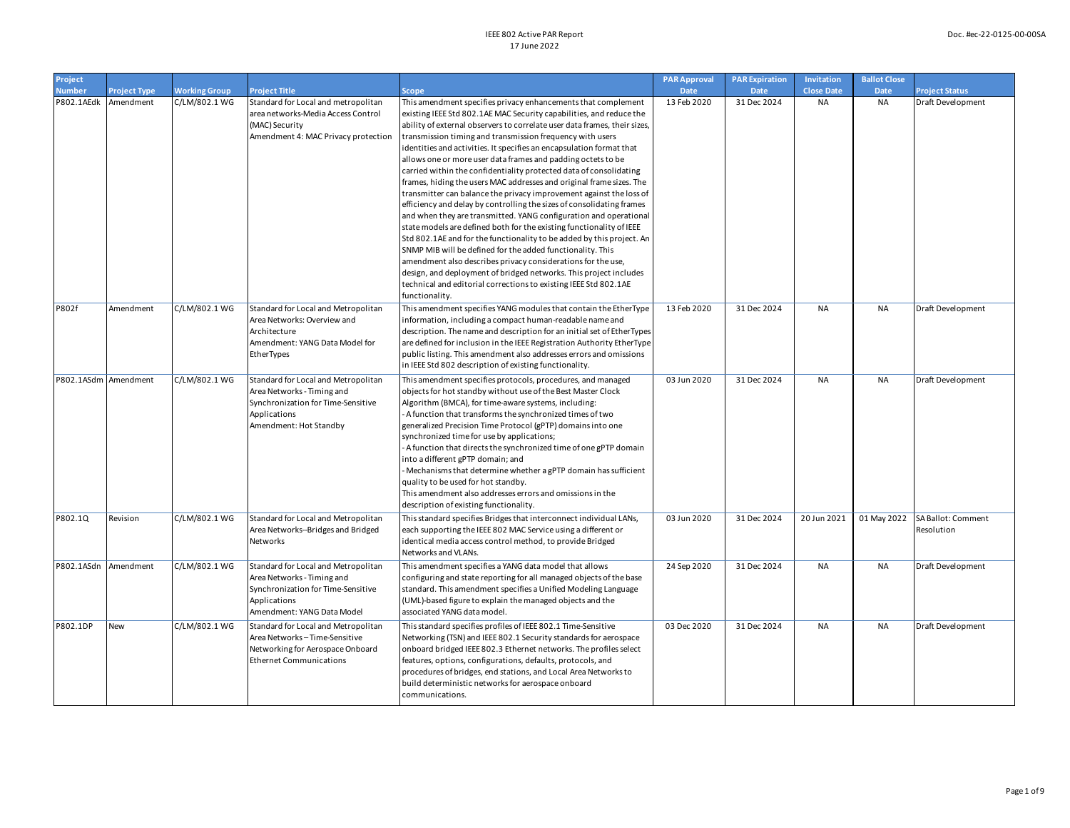| Project              |                     |                      |                                                                                                                                                       |                                                                                                                                                                                                                                                                                                                                                                                                                                                                                                                                                                                                                                                                                                                                                                                                                                                                                                                                                                                                                                                                                                                                                                                                                                     | <b>PAR Approval</b> | <b>PAR Expiration</b> | Invitation        | <b>Ballot Close</b> |                                  |
|----------------------|---------------------|----------------------|-------------------------------------------------------------------------------------------------------------------------------------------------------|-------------------------------------------------------------------------------------------------------------------------------------------------------------------------------------------------------------------------------------------------------------------------------------------------------------------------------------------------------------------------------------------------------------------------------------------------------------------------------------------------------------------------------------------------------------------------------------------------------------------------------------------------------------------------------------------------------------------------------------------------------------------------------------------------------------------------------------------------------------------------------------------------------------------------------------------------------------------------------------------------------------------------------------------------------------------------------------------------------------------------------------------------------------------------------------------------------------------------------------|---------------------|-----------------------|-------------------|---------------------|----------------------------------|
| <b>Number</b>        | <b>Project Type</b> | <b>Working Group</b> | <b>Project Title</b>                                                                                                                                  | Scope                                                                                                                                                                                                                                                                                                                                                                                                                                                                                                                                                                                                                                                                                                                                                                                                                                                                                                                                                                                                                                                                                                                                                                                                                               | Date                | <b>Date</b>           | <b>Close Date</b> | <b>Date</b>         | <b>Project Status</b>            |
| P802.1AEdk           | Amendment           | C/LM/802.1 WG        | Standard for Local and metropolitan<br>area networks-Media Access Control<br>(MAC) Security<br>Amendment 4: MAC Privacy protection                    | This amendment specifies privacy enhancements that complement<br>existing IEEE Std 802.1AE MAC Security capabilities, and reduce the<br>ability of external observers to correlate user data frames, their sizes,<br>transmission timing and transmission frequency with users<br>identities and activities. It specifies an encapsulation format that<br>allows one or more user data frames and padding octets to be<br>carried within the confidentiality protected data of consolidating<br>frames, hiding the users MAC addresses and original frame sizes. The<br>transmitter can balance the privacy improvement against the loss of<br>efficiency and delay by controlling the sizes of consolidating frames<br>and when they are transmitted. YANG configuration and operational<br>state models are defined both for the existing functionality of IEEE<br>Std 802.1AE and for the functionality to be added by this project. An<br>SNMP MIB will be defined for the added functionality. This<br>amendment also describes privacy considerations for the use,<br>design, and deployment of bridged networks. This project includes<br>technical and editorial corrections to existing IEEE Std 802.1AE<br>functionality. | 13 Feb 2020         | 31 Dec 2024           | <b>NA</b>         | <b>NA</b>           | Draft Development                |
| <b>P802f</b>         | Amendment           | C/LM/802.1 WG        | Standard for Local and Metropolitan<br>Area Networks: Overview and<br>Architecture<br>Amendment: YANG Data Model for<br>EtherTypes                    | This amendment specifies YANG modules that contain the EtherType<br>information, including a compact human-readable name and<br>description. The name and description for an initial set of EtherTypes<br>are defined for inclusion in the IEEE Registration Authority EtherType<br>public listing. This amendment also addresses errors and omissions<br>in IEEE Std 802 description of existing functionality.                                                                                                                                                                                                                                                                                                                                                                                                                                                                                                                                                                                                                                                                                                                                                                                                                    | 13 Feb 2020         | 31 Dec 2024           | <b>NA</b>         | <b>NA</b>           | Draft Development                |
| P802.1ASdm Amendment |                     | C/LM/802.1 WG        | Standard for Local and Metropolitan<br>Area Networks - Timing and<br>Synchronization for Time-Sensitive<br>Applications<br>Amendment: Hot Standby     | This amendment specifies protocols, procedures, and managed<br>objects for hot standby without use of the Best Master Clock<br>Algorithm (BMCA), for time-aware systems, including:<br>- A function that transforms the synchronized times of two<br>generalized Precision Time Protocol (gPTP) domains into one<br>synchronized time for use by applications;<br>- A function that directs the synchronized time of one gPTP domain<br>into a different gPTP domain; and<br>- Mechanisms that determine whether a gPTP domain has sufficient<br>quality to be used for hot standby.<br>This amendment also addresses errors and omissions in the<br>description of existing functionality.                                                                                                                                                                                                                                                                                                                                                                                                                                                                                                                                         | 03 Jun 2020         | 31 Dec 2024           | <b>NA</b>         | <b>NA</b>           | Draft Development                |
| P802.1Q              | Revision            | C/LM/802.1 WG        | Standard for Local and Metropolitan<br>Area Networks--Bridges and Bridged<br>Networks                                                                 | This standard specifies Bridges that interconnect individual LANs,<br>each supporting the IEEE 802 MAC Service using a different or<br>identical media access control method, to provide Bridged<br>Networks and VLANs.                                                                                                                                                                                                                                                                                                                                                                                                                                                                                                                                                                                                                                                                                                                                                                                                                                                                                                                                                                                                             | 03 Jun 2020         | 31 Dec 2024           | 20 Jun 2021       | 01 May 2022         | SA Ballot: Comment<br>Resolution |
| P802.1ASdn           | Amendment           | C/LM/802.1 WG        | Standard for Local and Metropolitan<br>Area Networks - Timing and<br>Synchronization for Time-Sensitive<br>Applications<br>Amendment: YANG Data Model | This amendment specifies a YANG data model that allows<br>configuring and state reporting for all managed objects of the base<br>standard. This amendment specifies a Unified Modeling Language<br>(UML)-based figure to explain the managed objects and the<br>associated YANG data model.                                                                                                                                                                                                                                                                                                                                                                                                                                                                                                                                                                                                                                                                                                                                                                                                                                                                                                                                         | 24 Sep 2020         | 31 Dec 2024           | <b>NA</b>         | <b>NA</b>           | Draft Development                |
| P802.1DP             | New                 | C/LM/802.1 WG        | Standard for Local and Metropolitan<br>Area Networks - Time-Sensitive<br>Networking for Aerospace Onboard<br><b>Ethernet Communications</b>           | This standard specifies profiles of IEEE 802.1 Time-Sensitive<br>Networking (TSN) and IEEE 802.1 Security standards for aerospace<br>onboard bridged IEEE 802.3 Ethernet networks. The profiles select<br>features, options, configurations, defaults, protocols, and<br>procedures of bridges, end stations, and Local Area Networks to<br>build deterministic networks for aerospace onboard<br>communications.                                                                                                                                                                                                                                                                                                                                                                                                                                                                                                                                                                                                                                                                                                                                                                                                                   | 03 Dec 2020         | 31 Dec 2024           | <b>NA</b>         | <b>NA</b>           | Draft Development                |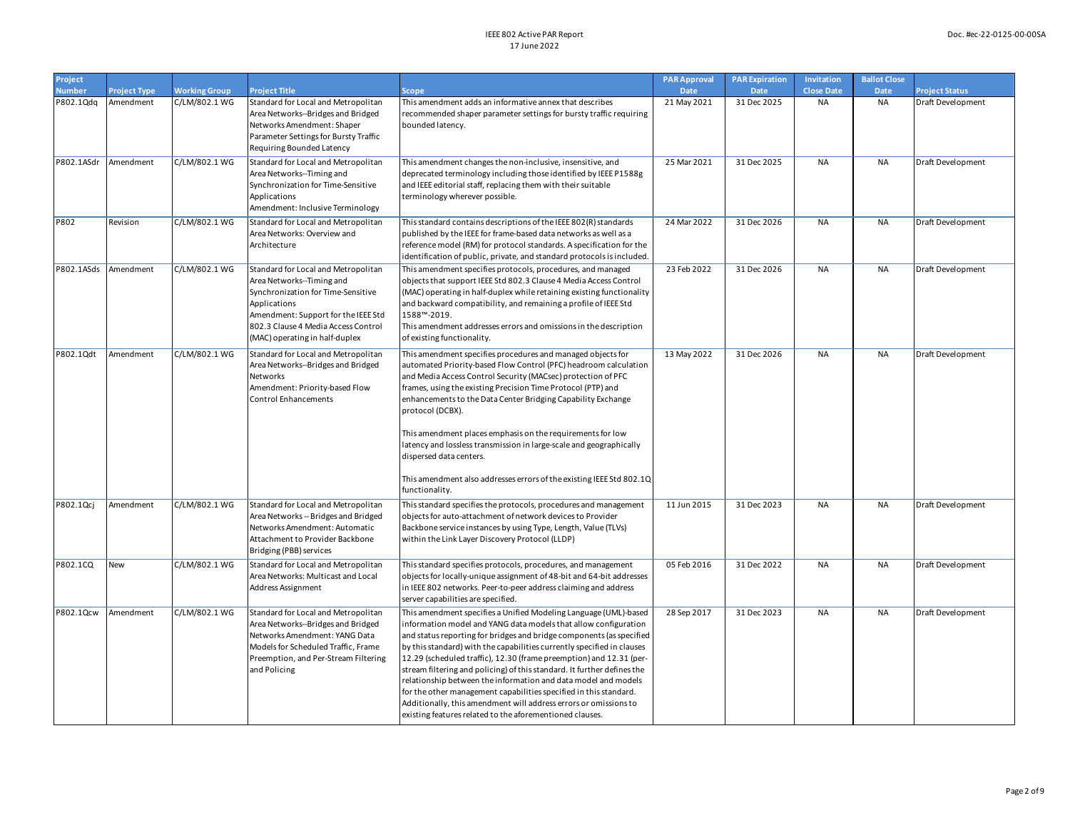| Project                    |                                  |                                       |                                                                                                                                                                                                                                        |                                                                                                                                                                                                                                                                                                                                                                                                                                                                                                                                                                                                                                                                                                                | <b>PAR Approval</b>        | <b>PAR Expiration</b>      | Invitation                     | <b>Ballot Close</b>      |                                            |
|----------------------------|----------------------------------|---------------------------------------|----------------------------------------------------------------------------------------------------------------------------------------------------------------------------------------------------------------------------------------|----------------------------------------------------------------------------------------------------------------------------------------------------------------------------------------------------------------------------------------------------------------------------------------------------------------------------------------------------------------------------------------------------------------------------------------------------------------------------------------------------------------------------------------------------------------------------------------------------------------------------------------------------------------------------------------------------------------|----------------------------|----------------------------|--------------------------------|--------------------------|--------------------------------------------|
| <b>Number</b><br>P802.1Qdq | <b>Project Type</b><br>Amendment | <b>Working Group</b><br>C/LM/802.1 WG | <b>Project Title</b><br>Standard for Local and Metropolitan                                                                                                                                                                            | <b>Scope</b><br>This amendment adds an informative annex that describes                                                                                                                                                                                                                                                                                                                                                                                                                                                                                                                                                                                                                                        | <b>Date</b><br>21 May 2021 | <b>Date</b><br>31 Dec 2025 | <b>Close Date</b><br><b>NA</b> | <b>Date</b><br><b>NA</b> | <b>Project Status</b><br>Draft Development |
|                            |                                  |                                       | Area Networks--Bridges and Bridged<br>Networks Amendment: Shaper<br>Parameter Settings for Bursty Traffic<br>Requiring Bounded Latency                                                                                                 | recommended shaper parameter settings for bursty traffic requiring<br>bounded latency.                                                                                                                                                                                                                                                                                                                                                                                                                                                                                                                                                                                                                         |                            |                            |                                |                          |                                            |
| P802.1ASdr                 | Amendment                        | C/LM/802.1 WG                         | Standard for Local and Metropolitan<br>Area Networks--Timing and<br>Synchronization for Time-Sensitive<br>Applications<br>Amendment: Inclusive Terminology                                                                             | This amendment changes the non-inclusive, insensitive, and<br>deprecated terminology including those identified by IEEE P1588g<br>and IEEE editorial staff, replacing them with their suitable<br>terminology wherever possible.                                                                                                                                                                                                                                                                                                                                                                                                                                                                               | 25 Mar 2021                | 31 Dec 2025                | <b>NA</b>                      | <b>NA</b>                | Draft Development                          |
| P802                       | Revision                         | C/LM/802.1 WG                         | Standard for Local and Metropolitan<br>Area Networks: Overview and<br>Architecture                                                                                                                                                     | This standard contains descriptions of the IEEE 802(R) standards<br>published by the IEEE for frame-based data networks as well as a<br>reference model (RM) for protocol standards. A specification for the<br>identification of public, private, and standard protocols is included.                                                                                                                                                                                                                                                                                                                                                                                                                         | 24 Mar 2022                | 31 Dec 2026                | <b>NA</b>                      | NA                       | Draft Development                          |
| P802.1ASds                 | Amendment                        | C/LM/802.1 WG                         | Standard for Local and Metropolitan<br>Area Networks--Timing and<br>Synchronization for Time-Sensitive<br>Applications<br>Amendment: Support for the IEEE Std<br>802.3 Clause 4 Media Access Control<br>(MAC) operating in half-duplex | This amendment specifies protocols, procedures, and managed<br>objects that support IEEE Std 802.3 Clause 4 Media Access Control<br>(MAC) operating in half-duplex while retaining existing functionality<br>and backward compatibility, and remaining a profile of IEEE Std<br>1588™-2019.<br>This amendment addresses errors and omissions in the description<br>of existing functionality.                                                                                                                                                                                                                                                                                                                  | 23 Feb 2022                | 31 Dec 2026                | <b>NA</b>                      | NA                       | Draft Development                          |
| P802.1Qdt                  | Amendment                        | C/LM/802.1 WG                         | Standard for Local and Metropolitan<br>Area Networks--Bridges and Bridged<br>Networks<br>Amendment: Priority-based Flow<br>Control Enhancements                                                                                        | This amendment specifies procedures and managed objects for<br>automated Priority-based Flow Control (PFC) headroom calculation<br>and Media Access Control Security (MACsec) protection of PFC<br>frames, using the existing Precision Time Protocol (PTP) and<br>enhancements to the Data Center Bridging Capability Exchange<br>protocol (DCBX).<br>This amendment places emphasis on the requirements for low<br>latency and lossless transmission in large-scale and geographically                                                                                                                                                                                                                       | 13 May 2022                | 31 Dec 2026                | <b>NA</b>                      | <b>NA</b>                | Draft Development                          |
|                            |                                  |                                       |                                                                                                                                                                                                                                        | dispersed data centers.<br>This amendment also addresses errors of the existing IEEE Std 802.1Q<br>functionality.                                                                                                                                                                                                                                                                                                                                                                                                                                                                                                                                                                                              |                            |                            |                                |                          |                                            |
| P802.1Qcj                  | Amendment                        | C/LM/802.1 WG                         | Standard for Local and Metropolitan<br>Area Networks -- Bridges and Bridged<br>Networks Amendment: Automatic<br>Attachment to Provider Backbone<br>Bridging (PBB) services                                                             | This standard specifies the protocols, procedures and management<br>objects for auto-attachment of network devices to Provider<br>Backbone service instances by using Type, Length, Value (TLVs)<br>within the Link Layer Discovery Protocol (LLDP)                                                                                                                                                                                                                                                                                                                                                                                                                                                            | 11 Jun 2015                | 31 Dec 2023                | <b>NA</b>                      | <b>NA</b>                | <b>Draft Development</b>                   |
| P802.1CQ                   | New                              | C/LM/802.1 WG                         | Standard for Local and Metropolitan<br>Area Networks: Multicast and Local<br>Address Assignment                                                                                                                                        | This standard specifies protocols, procedures, and management<br>objects for locally-unique assignment of 48-bit and 64-bit addresses<br>in IEEE 802 networks. Peer-to-peer address claiming and address<br>server capabilities are specified.                                                                                                                                                                                                                                                                                                                                                                                                                                                                 | 05 Feb 2016                | 31 Dec 2022                | <b>NA</b>                      | NA                       | Draft Development                          |
| P802.1Qcw                  | Amendment                        | C/LM/802.1 WG                         | Standard for Local and Metropolitan<br>Area Networks--Bridges and Bridged<br>Networks Amendment: YANG Data<br>Models for Scheduled Traffic, Frame<br>Preemption, and Per-Stream Filtering<br>and Policing                              | This amendment specifies a Unified Modeling Language (UML)-based<br>information model and YANG data models that allow configuration<br>and status reporting for bridges and bridge components (as specified<br>by this standard) with the capabilities currently specified in clauses<br>12.29 (scheduled traffic), 12.30 (frame preemption) and 12.31 (per-<br>stream filtering and policing) of this standard. It further defines the<br>relationship between the information and data model and models<br>for the other management capabilities specified in this standard.<br>Additionally, this amendment will address errors or omissions to<br>existing features related to the aforementioned clauses. | 28 Sep 2017                | 31 Dec 2023                | <b>NA</b>                      | <b>NA</b>                | Draft Development                          |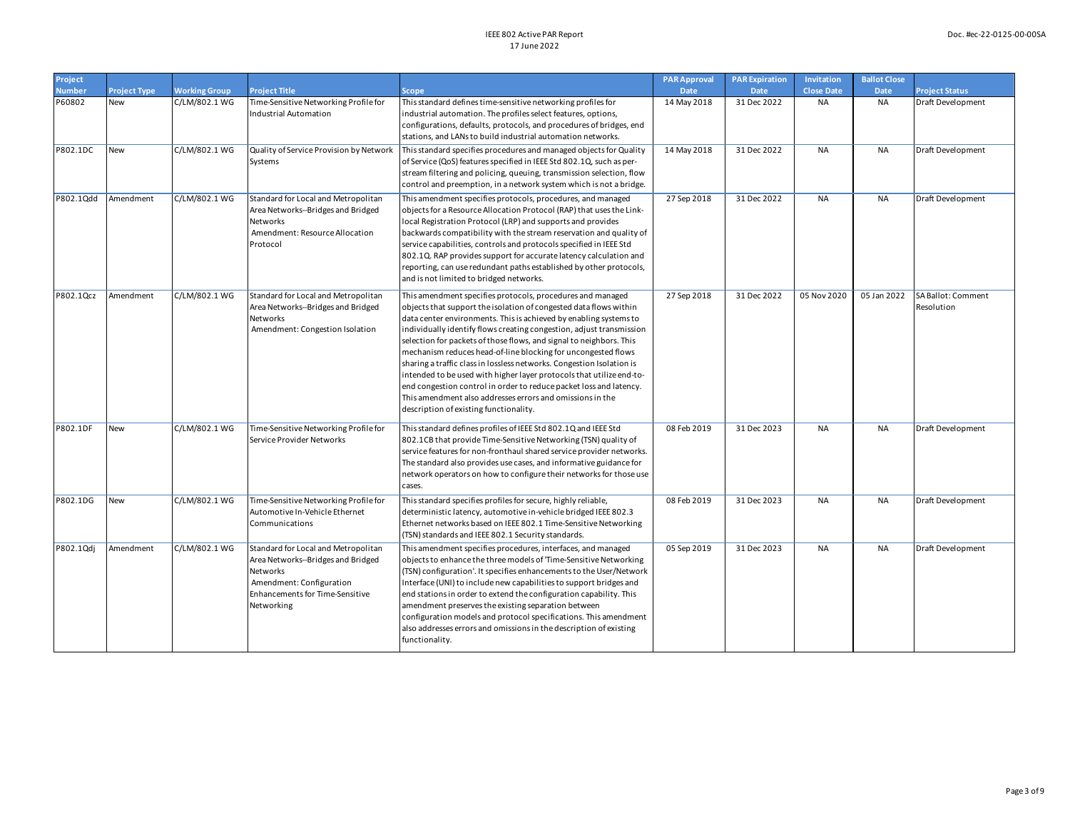| Project       |                     |                      |                                                                                                                                                                    |                                                                                                                                                                                                                                                                                                                                                                                                                                                                                                                                                                                                                                                                                                                                                    | <b>PAR Approval</b> | <b>PAR Expiration</b> | Invitation        | <b>Ballot Close</b> |                                  |
|---------------|---------------------|----------------------|--------------------------------------------------------------------------------------------------------------------------------------------------------------------|----------------------------------------------------------------------------------------------------------------------------------------------------------------------------------------------------------------------------------------------------------------------------------------------------------------------------------------------------------------------------------------------------------------------------------------------------------------------------------------------------------------------------------------------------------------------------------------------------------------------------------------------------------------------------------------------------------------------------------------------------|---------------------|-----------------------|-------------------|---------------------|----------------------------------|
| <b>Number</b> | <b>Project Type</b> | <b>Working Group</b> | <b>Project Title</b>                                                                                                                                               | <b>Scope</b>                                                                                                                                                                                                                                                                                                                                                                                                                                                                                                                                                                                                                                                                                                                                       | Date                | <b>Date</b>           | <b>Close Date</b> | Date                | <b>Project Status</b>            |
| P60802        | New                 | C/LM/802.1 WG        | Time-Sensitive Networking Profile for<br>Industrial Automation                                                                                                     | This standard defines time-sensitive networking profiles for<br>industrial automation. The profiles select features, options,<br>configurations, defaults, protocols, and procedures of bridges, end<br>stations, and LANs to build industrial automation networks.                                                                                                                                                                                                                                                                                                                                                                                                                                                                                | 14 May 2018         | 31 Dec 2022           | <b>NA</b>         | <b>NA</b>           | Draft Development                |
| P802.1DC      | New                 | C/LM/802.1 WG        | Quality of Service Provision by Network<br>Systems                                                                                                                 | This standard specifies procedures and managed objects for Quality<br>of Service (QoS) features specified in IEEE Std 802.1Q, such as per-<br>stream filtering and policing, queuing, transmission selection, flow<br>control and preemption, in a network system which is not a bridge.                                                                                                                                                                                                                                                                                                                                                                                                                                                           | 14 May 2018         | 31 Dec 2022           | <b>NA</b>         | <b>NA</b>           | Draft Development                |
| P802.1Qdd     | Amendment           | C/LM/802.1 WG        | Standard for Local and Metropolitan<br>Area Networks--Bridges and Bridged<br>Networks<br>Amendment: Resource Allocation<br>Protocol                                | This amendment specifies protocols, procedures, and managed<br>objects for a Resource Allocation Protocol (RAP) that uses the Link-<br>local Registration Protocol (LRP) and supports and provides<br>backwards compatibility with the stream reservation and quality of<br>service capabilities, controls and protocols specified in IEEE Std<br>802.1Q. RAP provides support for accurate latency calculation and<br>reporting, can use redundant paths established by other protocols,<br>and is not limited to bridged networks.                                                                                                                                                                                                               | 27 Sep 2018         | 31 Dec 2022           | <b>NA</b>         | <b>NA</b>           | Draft Development                |
| P802.1Qcz     | Amendment           | C/LM/802.1 WG        | Standard for Local and Metropolitan<br>Area Networks--Bridges and Bridged<br>Networks<br>Amendment: Congestion Isolation                                           | This amendment specifies protocols, procedures and managed<br>objects that support the isolation of congested data flows within<br>data center environments. This is achieved by enabling systems to<br>individually identify flows creating congestion, adjust transmission<br>selection for packets of those flows, and signal to neighbors. This<br>mechanism reduces head-of-line blocking for uncongested flows<br>sharing a traffic class in lossless networks. Congestion Isolation is<br>intended to be used with higher layer protocols that utilize end-to-<br>end congestion control in order to reduce packet loss and latency.<br>This amendment also addresses errors and omissions in the<br>description of existing functionality. | 27 Sep 2018         | 31 Dec 2022           | 05 Nov 2020       | 05 Jan 2022         | SA Ballot: Comment<br>Resolution |
| P802.1DF      | New                 | C/LM/802.1 WG        | Time-Sensitive Networking Profile for<br>Service Provider Networks                                                                                                 | This standard defines profiles of IEEE Std 802.1Q and IEEE Std<br>802.1CB that provide Time-Sensitive Networking (TSN) quality of<br>service features for non-fronthaul shared service provider networks.<br>The standard also provides use cases, and informative guidance for<br>network operators on how to configure their networks for those use<br>cases.                                                                                                                                                                                                                                                                                                                                                                                    | 08 Feb 2019         | 31 Dec 2023           | <b>NA</b>         | NA                  | Draft Development                |
| P802.1DG      | <b>New</b>          | C/LM/802.1 WG        | Time-Sensitive Networking Profile for<br>Automotive In-Vehicle Ethernet<br>Communications                                                                          | This standard specifies profiles for secure, highly reliable,<br>deterministic latency, automotive in-vehicle bridged IEEE 802.3<br>Ethernet networks based on IEEE 802.1 Time-Sensitive Networking<br>(TSN) standards and IEEE 802.1 Security standards.                                                                                                                                                                                                                                                                                                                                                                                                                                                                                          | 08 Feb 2019         | 31 Dec 2023           | <b>NA</b>         | NA                  | Draft Development                |
| P802.1Qdj     | Amendment           | C/LM/802.1 WG        | Standard for Local and Metropolitan<br>Area Networks--Bridges and Bridged<br>Networks<br>Amendment: Configuration<br>Enhancements for Time-Sensitive<br>Networking | This amendment specifies procedures, interfaces, and managed<br>objects to enhance the three models of 'Time-Sensitive Networking<br>(TSN) configuration'. It specifies enhancements to the User/Network<br>Interface (UNI) to include new capabilities to support bridges and<br>end stations in order to extend the configuration capability. This<br>amendment preserves the existing separation between<br>configuration models and protocol specifications. This amendment<br>also addresses errors and omissions in the description of existing<br>functionality.                                                                                                                                                                            | 05 Sep 2019         | 31 Dec 2023           | <b>NA</b>         | <b>NA</b>           | Draft Development                |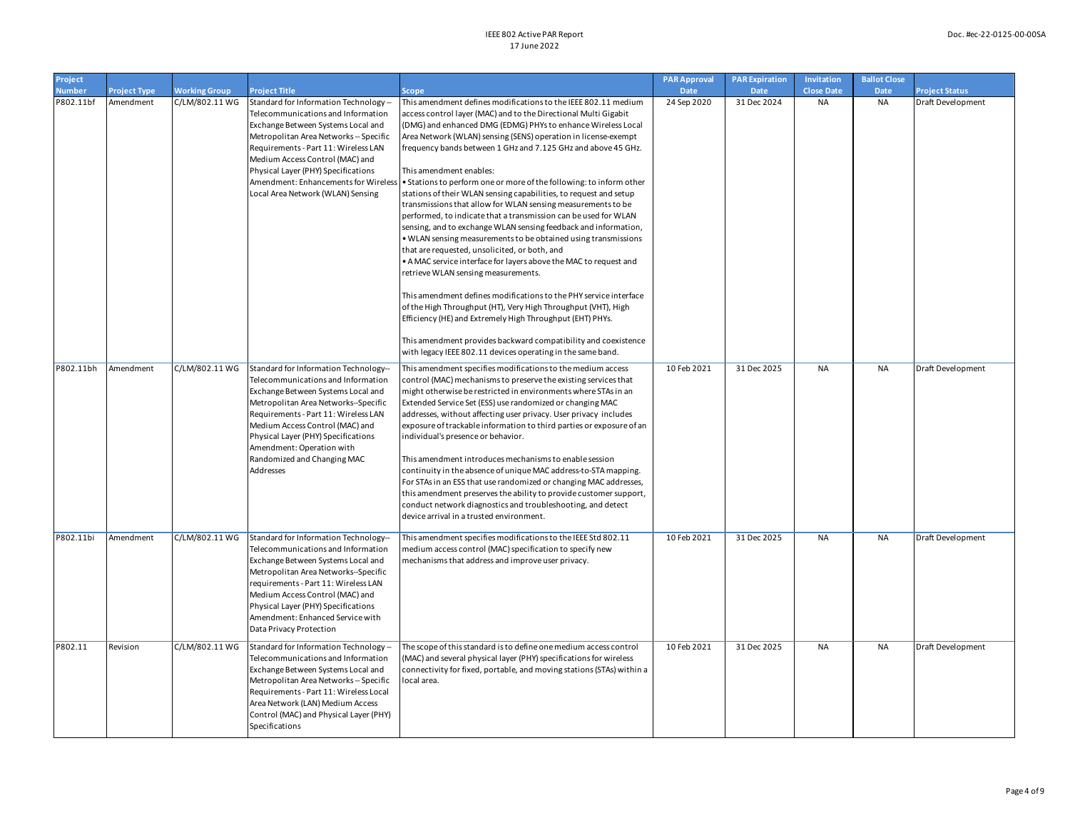| Project<br><b>Number</b> | <b>Project Type</b> | <b>Working Group</b> | <b>Project Title</b>                                                                                                                                                                                                                                                                                                                                | Scope                                                                                                                                                                                                                                                                                                                                                                                                                                                                                                                                                                                                                                                                                                                                                                                                                                                                                                                                                                                                                                                                                                                                                                                                                                                                                                                       | <b>PAR Approval</b><br><b>Date</b> | <b>PAR Expiration</b><br><b>Date</b> | Invitation<br><b>Close Date</b> | <b>Ballot Close</b><br><b>Date</b> | <b>Project Status</b> |
|--------------------------|---------------------|----------------------|-----------------------------------------------------------------------------------------------------------------------------------------------------------------------------------------------------------------------------------------------------------------------------------------------------------------------------------------------------|-----------------------------------------------------------------------------------------------------------------------------------------------------------------------------------------------------------------------------------------------------------------------------------------------------------------------------------------------------------------------------------------------------------------------------------------------------------------------------------------------------------------------------------------------------------------------------------------------------------------------------------------------------------------------------------------------------------------------------------------------------------------------------------------------------------------------------------------------------------------------------------------------------------------------------------------------------------------------------------------------------------------------------------------------------------------------------------------------------------------------------------------------------------------------------------------------------------------------------------------------------------------------------------------------------------------------------|------------------------------------|--------------------------------------|---------------------------------|------------------------------------|-----------------------|
| P802.11bf                | Amendment           | C/LM/802.11 WG       | Standard for Information Technology -<br>Telecommunications and Information<br>Exchange Between Systems Local and<br>Metropolitan Area Networks -- Specific<br>Requirements - Part 11: Wireless LAN<br>Medium Access Control (MAC) and<br>Physical Layer (PHY) Specifications<br>Local Area Network (WLAN) Sensing                                  | This amendment defines modifications to the IEEE 802.11 medium<br>access control layer (MAC) and to the Directional Multi Gigabit<br>(DMG) and enhanced DMG (EDMG) PHYs to enhance Wireless Local<br>Area Network (WLAN) sensing (SENS) operation in license-exempt<br>frequency bands between 1 GHz and 7.125 GHz and above 45 GHz.<br>This amendment enables:<br>Amendment: Enhancements for Wireless   • Stations to perform one or more of the following: to inform other<br>stations of their WLAN sensing capabilities, to request and setup<br>transmissions that allow for WLAN sensing measurements to be<br>performed, to indicate that a transmission can be used for WLAN<br>sensing, and to exchange WLAN sensing feedback and information,<br>. WLAN sensing measurements to be obtained using transmissions<br>that are requested, unsolicited, or both, and<br>• A MAC service interface for layers above the MAC to request and<br>retrieve WLAN sensing measurements.<br>This amendment defines modifications to the PHY service interface<br>of the High Throughput (HT), Very High Throughput (VHT), High<br>Efficiency (HE) and Extremely High Throughput (EHT) PHYs.<br>This amendment provides backward compatibility and coexistence<br>with legacy IEEE 802.11 devices operating in the same band. | 24 Sep 2020                        | 31 Dec 2024                          | <b>NA</b>                       | <b>NA</b>                          | Draft Development     |
| P802.11bh                | Amendment           | C/LM/802.11 WG       | Standard for Information Technology-<br>Telecommunications and Information<br>Exchange Between Systems Local and<br>Metropolitan Area Networks--Specific<br>Requirements - Part 11: Wireless LAN<br>Medium Access Control (MAC) and<br>Physical Layer (PHY) Specifications<br>Amendment: Operation with<br>Randomized and Changing MAC<br>Addresses | This amendment specifies modifications to the medium access<br>control (MAC) mechanisms to preserve the existing services that<br>might otherwise be restricted in environments where STAs in an<br>Extended Service Set (ESS) use randomized or changing MAC<br>addresses, without affecting user privacy. User privacy includes<br>exposure of trackable information to third parties or exposure of an<br>individual's presence or behavior.<br>This amendment introduces mechanisms to enable session<br>continuity in the absence of unique MAC address-to-STA mapping.<br>For STAs in an ESS that use randomized or changing MAC addresses,<br>this amendment preserves the ability to provide customer support,<br>conduct network diagnostics and troubleshooting, and detect<br>device arrival in a trusted environment.                                                                                                                                                                                                                                                                                                                                                                                                                                                                                           | 10 Feb 2021                        | 31 Dec 2025                          | <b>NA</b>                       | <b>NA</b>                          | Draft Development     |
| P802.11bi                | Amendment           | C/LM/802.11 WG       | Standard for Information Technology--<br>Telecommunications and Information<br>Exchange Between Systems Local and<br>Metropolitan Area Networks--Specific<br>requirements - Part 11: Wireless LAN<br>Medium Access Control (MAC) and<br>Physical Layer (PHY) Specifications<br>Amendment: Enhanced Service with<br>Data Privacy Protection          | This amendment specifies modifications to the IEEE Std 802.11<br>medium access control (MAC) specification to specify new<br>mechanisms that address and improve user privacy.                                                                                                                                                                                                                                                                                                                                                                                                                                                                                                                                                                                                                                                                                                                                                                                                                                                                                                                                                                                                                                                                                                                                              | 10 Feb 2021                        | 31 Dec 2025                          | <b>NA</b>                       | <b>NA</b>                          | Draft Development     |
| P802.11                  | Revision            | C/LM/802.11 WG       | Standard for Information Technology -<br>Telecommunications and Information<br>Exchange Between Systems Local and<br>Metropolitan Area Networks -- Specific<br>Requirements - Part 11: Wireless Local<br>Area Network (LAN) Medium Access<br>Control (MAC) and Physical Layer (PHY)<br>Specifications                                               | The scope of this standard is to define one medium access control<br>(MAC) and several physical layer (PHY) specifications for wireless<br>connectivity for fixed, portable, and moving stations (STAs) within a<br>local area.                                                                                                                                                                                                                                                                                                                                                                                                                                                                                                                                                                                                                                                                                                                                                                                                                                                                                                                                                                                                                                                                                             | 10 Feb 2021                        | 31 Dec 2025                          | <b>NA</b>                       | <b>NA</b>                          | Draft Development     |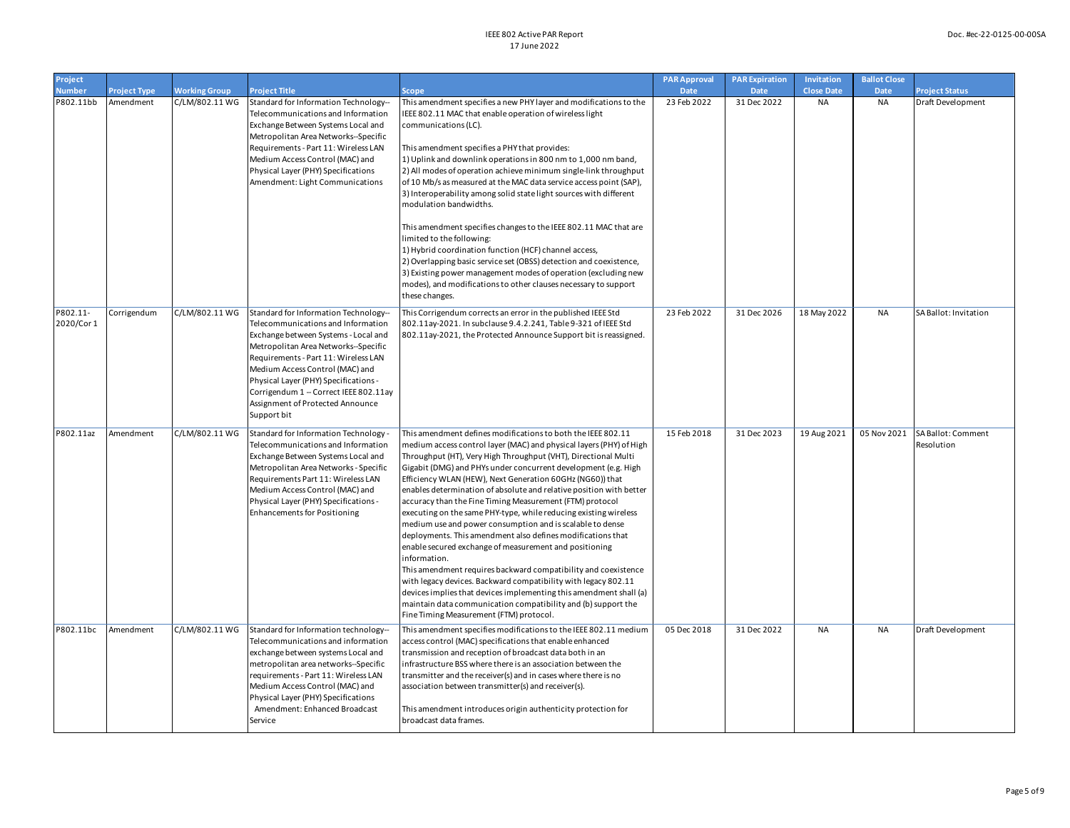| Project<br><b>Number</b> | <b>Project Type</b> | <b>Working Group</b> | <b>Project Title</b>                                                                                                                                                                                                                                                                                                                                                       | Scope                                                                                                                                                                                                                                                                                                                                                                                                                                                                                                                                                                                                                                                                                                                                                                                                                                                                                                                                                                                                                                                                   | <b>PAR Approval</b><br>Date | <b>PAR Expiration</b><br><b>Date</b> | Invitation<br><b>Close Date</b> | <b>Ballot Close</b><br><b>Date</b> | <b>Project Status</b>            |
|--------------------------|---------------------|----------------------|----------------------------------------------------------------------------------------------------------------------------------------------------------------------------------------------------------------------------------------------------------------------------------------------------------------------------------------------------------------------------|-------------------------------------------------------------------------------------------------------------------------------------------------------------------------------------------------------------------------------------------------------------------------------------------------------------------------------------------------------------------------------------------------------------------------------------------------------------------------------------------------------------------------------------------------------------------------------------------------------------------------------------------------------------------------------------------------------------------------------------------------------------------------------------------------------------------------------------------------------------------------------------------------------------------------------------------------------------------------------------------------------------------------------------------------------------------------|-----------------------------|--------------------------------------|---------------------------------|------------------------------------|----------------------------------|
| P802.11bb                | Amendment           | C/LM/802.11 WG       | Standard for Information Technology--<br>Telecommunications and Information<br>Exchange Between Systems Local and<br>Metropolitan Area Networks--Specific<br>Requirements - Part 11: Wireless LAN<br>Medium Access Control (MAC) and<br>Physical Layer (PHY) Specifications<br>Amendment: Light Communications                                                             | This amendment specifies a new PHY layer and modifications to the<br>IEEE 802.11 MAC that enable operation of wireless light<br>communications (LC).<br>This amendment specifies a PHY that provides:<br>1) Uplink and downlink operations in 800 nm to 1,000 nm band,<br>2) All modes of operation achieve minimum single-link throughput<br>of 10 Mb/s as measured at the MAC data service access point (SAP),<br>3) Interoperability among solid state light sources with different<br>modulation bandwidths.<br>This amendment specifies changes to the IEEE 802.11 MAC that are<br>limited to the following:<br>1) Hybrid coordination function (HCF) channel access,<br>2) Overlapping basic service set (OBSS) detection and coexistence,<br>3) Existing power management modes of operation (excluding new<br>modes), and modifications to other clauses necessary to support<br>these changes.                                                                                                                                                                 | 23 Feb 2022                 | 31 Dec 2022                          | <b>NA</b>                       | <b>NA</b>                          | Draft Development                |
| P802.11-<br>2020/Cor 1   | Corrigendum         | C/LM/802.11 WG       | Standard for Information Technology-<br>Telecommunications and Information<br>Exchange between Systems - Local and<br>Metropolitan Area Networks--Specific<br>Requirements - Part 11: Wireless LAN<br>Medium Access Control (MAC) and<br>Physical Layer (PHY) Specifications -<br>Corrigendum 1 - Correct IEEE 802.11ay<br>Assignment of Protected Announce<br>Support bit | This Corrigendum corrects an error in the published IEEE Std<br>802.11ay-2021. In subclause 9.4.2.241, Table 9-321 of IEEE Std<br>802.11ay-2021, the Protected Announce Support bit is reassigned.                                                                                                                                                                                                                                                                                                                                                                                                                                                                                                                                                                                                                                                                                                                                                                                                                                                                      | 23 Feb 2022                 | 31 Dec 2026                          | 18 May 2022                     | <b>NA</b>                          | SA Ballot: Invitation            |
| P802.11az                | Amendment           | C/LM/802.11 WG       | Standard for Information Technology<br>Telecommunications and Information<br>Exchange Between Systems Local and<br>Metropolitan Area Networks - Specific<br>Requirements Part 11: Wireless LAN<br>Medium Access Control (MAC) and<br>Physical Layer (PHY) Specifications -<br><b>Enhancements for Positioning</b>                                                          | This amendment defines modifications to both the IEEE 802.11<br>medium access control layer (MAC) and physical layers (PHY) of High<br>Throughput (HT), Very High Throughput (VHT), Directional Multi<br>Gigabit (DMG) and PHYs under concurrent development (e.g. High<br>Efficiency WLAN (HEW), Next Generation 60GHz (NG60)) that<br>enables determination of absolute and relative position with better<br>accuracy than the Fine Timing Measurement (FTM) protocol<br>executing on the same PHY-type, while reducing existing wireless<br>medium use and power consumption and is scalable to dense<br>deployments. This amendment also defines modifications that<br>enable secured exchange of measurement and positioning<br>information.<br>This amendment requires backward compatibility and coexistence<br>with legacy devices. Backward compatibility with legacy 802.11<br>devices implies that devices implementing this amendment shall (a)<br>maintain data communication compatibility and (b) support the<br>Fine Timing Measurement (FTM) protocol. | 15 Feb 2018                 | 31 Dec 2023                          | 19 Aug 2021                     | 05 Nov 2021                        | SA Ballot: Comment<br>Resolution |
| P802.11bc                | Amendment           | C/LM/802.11 WG       | Standard for Information technology-<br>Telecommunications and information<br>exchange between systems Local and<br>metropolitan area networks--Specific<br>equirements - Part 11: Wireless LAN<br>Medium Access Control (MAC) and<br>Physical Layer (PHY) Specifications<br>Amendment: Enhanced Broadcast<br>Service                                                      | This amendment specifies modifications to the IEEE 802.11 medium<br>access control (MAC) specifications that enable enhanced<br>transmission and reception of broadcast data both in an<br>infrastructure BSS where there is an association between the<br>transmitter and the receiver(s) and in cases where there is no<br>association between transmitter(s) and receiver(s).<br>This amendment introduces origin authenticity protection for<br>broadcast data frames.                                                                                                                                                                                                                                                                                                                                                                                                                                                                                                                                                                                              | 05 Dec 2018                 | 31 Dec 2022                          | <b>NA</b>                       | <b>NA</b>                          | Draft Development                |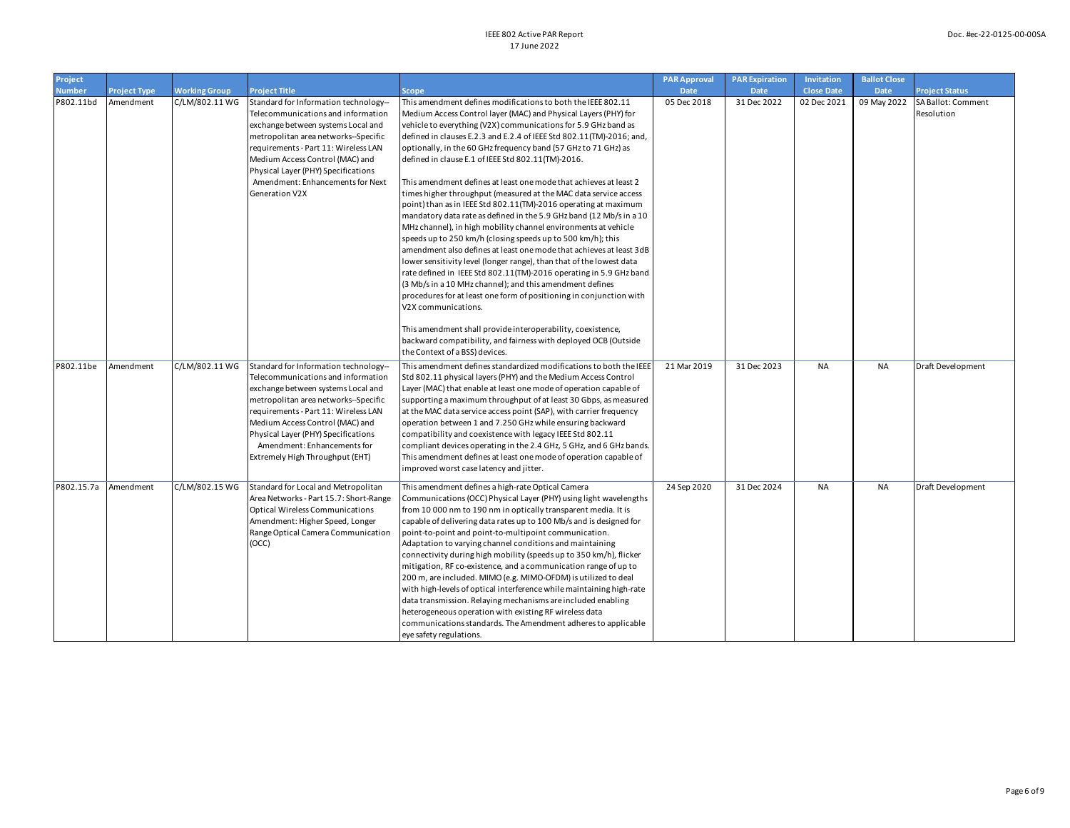| Project       |                     |                      |                                        |                                                                                                                                | <b>PAR Approval</b> | <b>PAR Expiration</b> | Invitation        | <b>Ballot Close</b> |                       |
|---------------|---------------------|----------------------|----------------------------------------|--------------------------------------------------------------------------------------------------------------------------------|---------------------|-----------------------|-------------------|---------------------|-----------------------|
| <b>Number</b> | <b>Project Type</b> | <b>Working Group</b> | <b>Project Title</b>                   | <b>Scope</b>                                                                                                                   | <b>Date</b>         | <b>Date</b>           | <b>Close Date</b> | <b>Date</b>         | <b>Project Status</b> |
| P802.11bd     | Amendment           | C/LM/802.11 WG       | Standard for Information technology--  | This amendment defines modifications to both the IEEE 802.11                                                                   | 05 Dec 2018         | 31 Dec 2022           | 02 Dec 2021       | 09 May 2022         | SA Ballot: Comment    |
|               |                     |                      | Telecommunications and information     | Medium Access Control layer (MAC) and Physical Layers (PHY) for                                                                |                     |                       |                   |                     | Resolution            |
|               |                     |                      | exchange between systems Local and     | vehicle to everything (V2X) communications for 5.9 GHz band as                                                                 |                     |                       |                   |                     |                       |
|               |                     |                      | metropolitan area networks--Specific   | defined in clauses E.2.3 and E.2.4 of IEEE Std 802.11(TM)-2016; and,                                                           |                     |                       |                   |                     |                       |
|               |                     |                      | requirements - Part 11: Wireless LAN   | optionally, in the 60 GHz frequency band (57 GHz to 71 GHz) as                                                                 |                     |                       |                   |                     |                       |
|               |                     |                      | Medium Access Control (MAC) and        | defined in clause E.1 of IEEE Std 802.11(TM)-2016.                                                                             |                     |                       |                   |                     |                       |
|               |                     |                      | Physical Layer (PHY) Specifications    |                                                                                                                                |                     |                       |                   |                     |                       |
|               |                     |                      | Amendment: Enhancements for Next       | This amendment defines at least one mode that achieves at least 2                                                              |                     |                       |                   |                     |                       |
|               |                     |                      | Generation V2X                         | times higher throughput (measured at the MAC data service access                                                               |                     |                       |                   |                     |                       |
|               |                     |                      |                                        | point) than as in IEEE Std 802.11(TM)-2016 operating at maximum                                                                |                     |                       |                   |                     |                       |
|               |                     |                      |                                        | mandatory data rate as defined in the 5.9 GHz band (12 Mb/s in a 10                                                            |                     |                       |                   |                     |                       |
|               |                     |                      |                                        | MHz channel), in high mobility channel environments at vehicle                                                                 |                     |                       |                   |                     |                       |
|               |                     |                      |                                        | speeds up to 250 km/h (closing speeds up to 500 km/h); this                                                                    |                     |                       |                   |                     |                       |
|               |                     |                      |                                        | amendment also defines at least one mode that achieves at least 3dB                                                            |                     |                       |                   |                     |                       |
|               |                     |                      |                                        | lower sensitivity level (longer range), than that of the lowest data                                                           |                     |                       |                   |                     |                       |
|               |                     |                      |                                        | rate defined in IEEE Std 802.11(TM)-2016 operating in 5.9 GHz band<br>(3 Mb/s in a 10 MHz channel); and this amendment defines |                     |                       |                   |                     |                       |
|               |                     |                      |                                        | procedures for at least one form of positioning in conjunction with                                                            |                     |                       |                   |                     |                       |
|               |                     |                      |                                        | V2X communications.                                                                                                            |                     |                       |                   |                     |                       |
|               |                     |                      |                                        |                                                                                                                                |                     |                       |                   |                     |                       |
|               |                     |                      |                                        | This amendment shall provide interoperability, coexistence,                                                                    |                     |                       |                   |                     |                       |
|               |                     |                      |                                        | backward compatibility, and fairness with deployed OCB (Outside                                                                |                     |                       |                   |                     |                       |
|               |                     |                      |                                        | the Context of a BSS) devices.                                                                                                 |                     |                       |                   |                     |                       |
| P802.11be     | Amendment           | C/LM/802.11 WG       | Standard for Information technology-   | This amendment defines standardized modifications to both the IEEE                                                             | 21 Mar 2019         | 31 Dec 2023           | <b>NA</b>         | <b>NA</b>           | Draft Development     |
|               |                     |                      | Telecommunications and information     | Std 802.11 physical layers (PHY) and the Medium Access Control                                                                 |                     |                       |                   |                     |                       |
|               |                     |                      | exchange between systems Local and     | Layer (MAC) that enable at least one mode of operation capable of                                                              |                     |                       |                   |                     |                       |
|               |                     |                      | metropolitan area networks--Specific   | supporting a maximum throughput of at least 30 Gbps, as measured                                                               |                     |                       |                   |                     |                       |
|               |                     |                      | requirements - Part 11: Wireless LAN   | at the MAC data service access point (SAP), with carrier frequency                                                             |                     |                       |                   |                     |                       |
|               |                     |                      | Medium Access Control (MAC) and        | operation between 1 and 7.250 GHz while ensuring backward                                                                      |                     |                       |                   |                     |                       |
|               |                     |                      | Physical Layer (PHY) Specifications    | compatibility and coexistence with legacy IEEE Std 802.11                                                                      |                     |                       |                   |                     |                       |
|               |                     |                      | Amendment: Enhancements for            | compliant devices operating in the 2.4 GHz, 5 GHz, and 6 GHz bands.                                                            |                     |                       |                   |                     |                       |
|               |                     |                      | Extremely High Throughput (EHT)        | This amendment defines at least one mode of operation capable of                                                               |                     |                       |                   |                     |                       |
|               |                     |                      |                                        | improved worst case latency and jitter.                                                                                        |                     |                       |                   |                     |                       |
| P802.15.7a    | Amendment           | C/LM/802.15 WG       | Standard for Local and Metropolitan    | This amendment defines a high-rate Optical Camera                                                                              | 24 Sep 2020         | 31 Dec 2024           | <b>NA</b>         | <b>NA</b>           | Draft Development     |
|               |                     |                      | Area Networks - Part 15.7: Short-Range | Communications (OCC) Physical Layer (PHY) using light wavelengths                                                              |                     |                       |                   |                     |                       |
|               |                     |                      | <b>Optical Wireless Communications</b> | from 10 000 nm to 190 nm in optically transparent media. It is                                                                 |                     |                       |                   |                     |                       |
|               |                     |                      | Amendment: Higher Speed, Longer        | capable of delivering data rates up to 100 Mb/s and is designed for                                                            |                     |                       |                   |                     |                       |
|               |                     |                      | Range Optical Camera Communication     | point-to-point and point-to-multipoint communication.                                                                          |                     |                       |                   |                     |                       |
|               |                     |                      | (OCC)                                  | Adaptation to varying channel conditions and maintaining                                                                       |                     |                       |                   |                     |                       |
|               |                     |                      |                                        | connectivity during high mobility (speeds up to 350 km/h), flicker                                                             |                     |                       |                   |                     |                       |
|               |                     |                      |                                        | mitigation, RF co-existence, and a communication range of up to                                                                |                     |                       |                   |                     |                       |
|               |                     |                      |                                        | 200 m, are included. MIMO (e.g. MIMO-OFDM) is utilized to deal                                                                 |                     |                       |                   |                     |                       |
|               |                     |                      |                                        | with high-levels of optical interference while maintaining high-rate                                                           |                     |                       |                   |                     |                       |
|               |                     |                      |                                        | data transmission. Relaying mechanisms are included enabling                                                                   |                     |                       |                   |                     |                       |
|               |                     |                      |                                        | heterogeneous operation with existing RF wireless data                                                                         |                     |                       |                   |                     |                       |
|               |                     |                      |                                        | communications standards. The Amendment adheres to applicable                                                                  |                     |                       |                   |                     |                       |
|               |                     |                      |                                        | eye safety regulations.                                                                                                        |                     |                       |                   |                     |                       |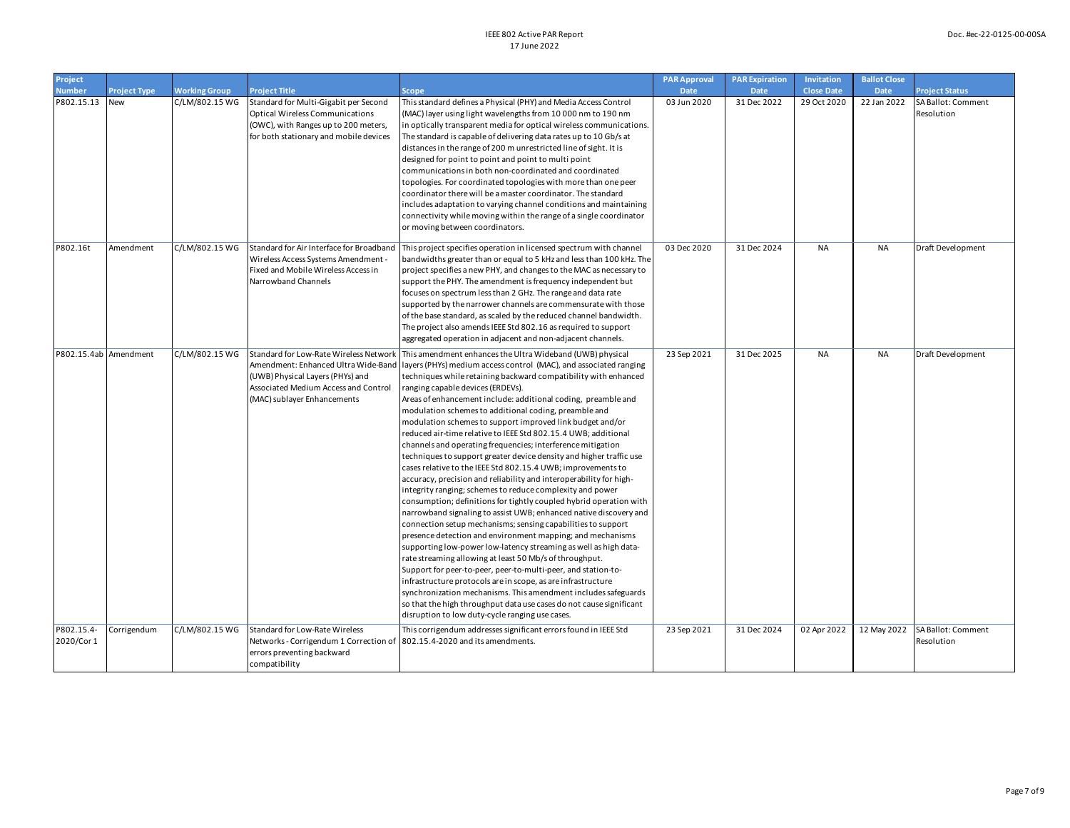| Project                  |                     |                      |                                                                                                                                                                   |                                                                                                                                                                                                                                                                                                                                                                                                                                                                                                                                                                                                                                                                                                                                                                                                                                                                                                                                                                                                                                                                                                                                                                                                                                                                                                                                                                                                                                                                                                                                                                                                                                                              | <b>PAR Approval</b> | <b>PAR Expiration</b> | Invitation        | <b>Ballot Close</b> |                                  |
|--------------------------|---------------------|----------------------|-------------------------------------------------------------------------------------------------------------------------------------------------------------------|--------------------------------------------------------------------------------------------------------------------------------------------------------------------------------------------------------------------------------------------------------------------------------------------------------------------------------------------------------------------------------------------------------------------------------------------------------------------------------------------------------------------------------------------------------------------------------------------------------------------------------------------------------------------------------------------------------------------------------------------------------------------------------------------------------------------------------------------------------------------------------------------------------------------------------------------------------------------------------------------------------------------------------------------------------------------------------------------------------------------------------------------------------------------------------------------------------------------------------------------------------------------------------------------------------------------------------------------------------------------------------------------------------------------------------------------------------------------------------------------------------------------------------------------------------------------------------------------------------------------------------------------------------------|---------------------|-----------------------|-------------------|---------------------|----------------------------------|
| <b>Number</b>            | <b>Project Type</b> | <b>Working Group</b> | <b>Project Title</b>                                                                                                                                              | Scope                                                                                                                                                                                                                                                                                                                                                                                                                                                                                                                                                                                                                                                                                                                                                                                                                                                                                                                                                                                                                                                                                                                                                                                                                                                                                                                                                                                                                                                                                                                                                                                                                                                        | <b>Date</b>         | <b>Date</b>           | <b>Close Date</b> | <b>Date</b>         | <b>Project Status</b>            |
| P802.15.13 New           |                     | C/LM/802.15 WG       | Standard for Multi-Gigabit per Second<br><b>Optical Wireless Communications</b><br>(OWC), with Ranges up to 200 meters,<br>for both stationary and mobile devices | This standard defines a Physical (PHY) and Media Access Control<br>(MAC) layer using light wavelengths from 10 000 nm to 190 nm<br>in optically transparent media for optical wireless communications.<br>The standard is capable of delivering data rates up to 10 Gb/s at<br>distances in the range of 200 m unrestricted line of sight. It is<br>designed for point to point and point to multi point<br>communications in both non-coordinated and coordinated<br>topologies. For coordinated topologies with more than one peer<br>coordinator there will be a master coordinator. The standard<br>includes adaptation to varying channel conditions and maintaining<br>connectivity while moving within the range of a single coordinator<br>or moving between coordinators.                                                                                                                                                                                                                                                                                                                                                                                                                                                                                                                                                                                                                                                                                                                                                                                                                                                                           | 03 Jun 2020         | 31 Dec 2022           | 29 Oct 2020       | 22 Jan 2022         | SA Ballot: Comment<br>Resolution |
| P802.16t                 | Amendment           | C/LM/802.15 WG       | Wireless Access Systems Amendment -<br>Fixed and Mobile Wireless Access in<br>Narrowband Channels                                                                 | Standard for Air Interface for Broadband   This project specifies operation in licensed spectrum with channel<br>bandwidths greater than or equal to 5 kHz and less than 100 kHz. The<br>project specifies a new PHY, and changes to the MAC as necessary to<br>support the PHY. The amendment is frequency independent but<br>focuses on spectrum less than 2 GHz. The range and data rate<br>supported by the narrower channels are commensurate with those<br>of the base standard, as scaled by the reduced channel bandwidth.<br>The project also amends IEEE Std 802.16 as required to support<br>aggregated operation in adjacent and non-adjacent channels.                                                                                                                                                                                                                                                                                                                                                                                                                                                                                                                                                                                                                                                                                                                                                                                                                                                                                                                                                                                          | 03 Dec 2020         | 31 Dec 2024           | <b>NA</b>         | <b>NA</b>           | Draft Development                |
| P802.15.4ab Amendment    |                     | C/LM/802.15 WG       | (UWB) Physical Layers (PHYs) and<br>Associated Medium Access and Control<br>(MAC) sublayer Enhancements                                                           | Standard for Low-Rate Wireless Network   This amendment enhances the Ultra Wideband (UWB) physical<br>Amendment: Enhanced Ultra Wide-Band   layers (PHYs) medium access control (MAC), and associated ranging<br>techniques while retaining backward compatibility with enhanced<br>ranging capable devices (ERDEVs).<br>Areas of enhancement include: additional coding, preamble and<br>modulation schemes to additional coding, preamble and<br>modulation schemes to support improved link budget and/or<br>reduced air-time relative to IEEE Std 802.15.4 UWB; additional<br>channels and operating frequencies; interference mitigation<br>techniques to support greater device density and higher traffic use<br>cases relative to the IEEE Std 802.15.4 UWB; improvements to<br>accuracy, precision and reliability and interoperability for high-<br>integrity ranging; schemes to reduce complexity and power<br>consumption; definitions for tightly coupled hybrid operation with<br>narrowband signaling to assist UWB; enhanced native discovery and<br>connection setup mechanisms; sensing capabilities to support<br>presence detection and environment mapping; and mechanisms<br>supporting low-power low-latency streaming as well as high data-<br>rate streaming allowing at least 50 Mb/s of throughput.<br>Support for peer-to-peer, peer-to-multi-peer, and station-to-<br>infrastructure protocols are in scope, as are infrastructure<br>synchronization mechanisms. This amendment includes safeguards<br>so that the high throughput data use cases do not cause significant<br>disruption to low duty-cycle ranging use cases. | 23 Sep 2021         | 31 Dec 2025           | <b>NA</b>         | <b>NA</b>           | Draft Development                |
| P802.15.4-<br>2020/Cor 1 | Corrigendum         | C/LM/802.15 WG       | Standard for Low-Rate Wireless<br>Networks - Corrigendum 1 Correction of 802.15.4-2020 and its amendments.<br>errors preventing backward<br>compatibility         | This corrigendum addresses significant errors found in IEEE Std                                                                                                                                                                                                                                                                                                                                                                                                                                                                                                                                                                                                                                                                                                                                                                                                                                                                                                                                                                                                                                                                                                                                                                                                                                                                                                                                                                                                                                                                                                                                                                                              | 23 Sep 2021         | 31 Dec 2024           | 02 Apr 2022       | 12 May 2022         | SA Ballot: Comment<br>Resolution |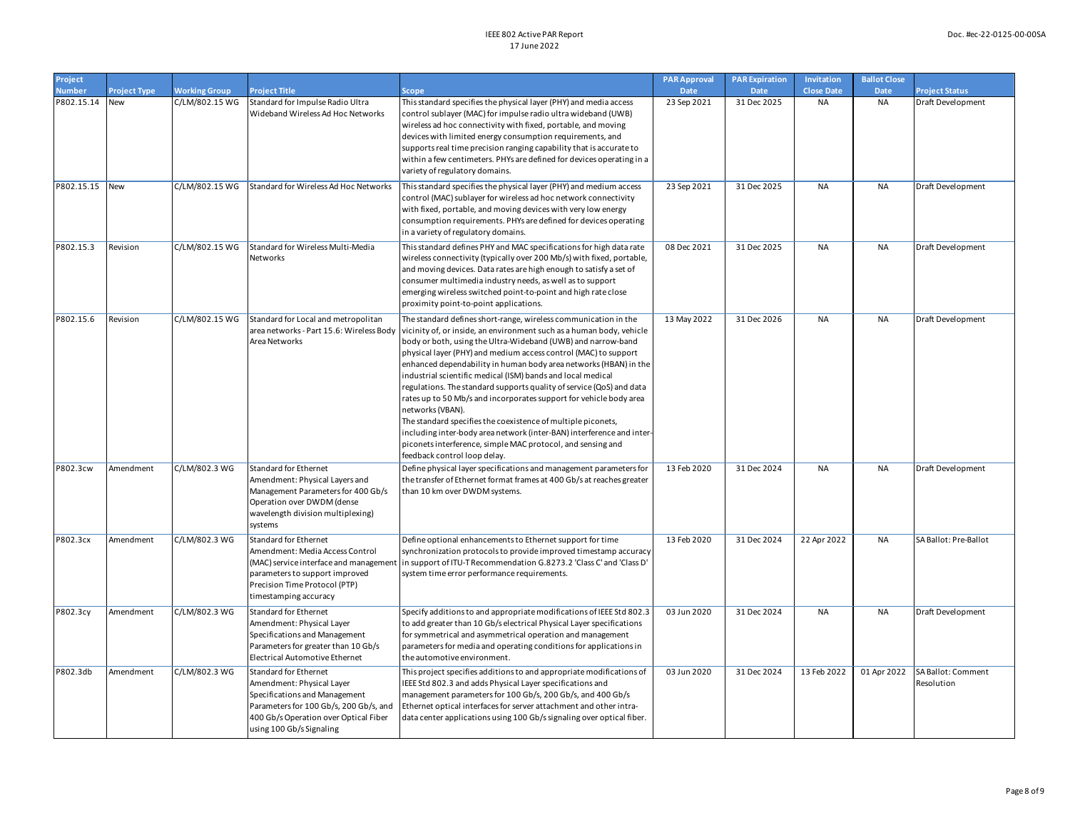| Project        |                     |                      |                                                                                                                                                                                                    |                                                                                                                                                                                                                                                                                                                                                                                                                                                                                                                                                                                                                                                                                                                                                                                                                         | <b>PAR Approval</b> | <b>PAR Expiration</b> | Invitation        | <b>Ballot Close</b> |                                  |
|----------------|---------------------|----------------------|----------------------------------------------------------------------------------------------------------------------------------------------------------------------------------------------------|-------------------------------------------------------------------------------------------------------------------------------------------------------------------------------------------------------------------------------------------------------------------------------------------------------------------------------------------------------------------------------------------------------------------------------------------------------------------------------------------------------------------------------------------------------------------------------------------------------------------------------------------------------------------------------------------------------------------------------------------------------------------------------------------------------------------------|---------------------|-----------------------|-------------------|---------------------|----------------------------------|
| <b>Number</b>  | <b>Project Type</b> | <b>Working Group</b> | <b>Project Title</b>                                                                                                                                                                               | Scope                                                                                                                                                                                                                                                                                                                                                                                                                                                                                                                                                                                                                                                                                                                                                                                                                   | Date                | <b>Date</b>           | <b>Close Date</b> | Date                | <b>Project Status</b>            |
| P802.15.14     | New                 | C/LM/802.15 WG       | Standard for Impulse Radio Ultra<br>Wideband Wireless Ad Hoc Networks                                                                                                                              | This standard specifies the physical layer (PHY) and media access<br>control sublayer (MAC) for impulse radio ultra wideband (UWB)<br>wireless ad hoc connectivity with fixed, portable, and moving<br>devices with limited energy consumption requirements, and<br>supports real time precision ranging capability that is accurate to<br>within a few centimeters. PHYs are defined for devices operating in a<br>variety of regulatory domains.                                                                                                                                                                                                                                                                                                                                                                      | 23 Sep 2021         | 31 Dec 2025           | <b>NA</b>         | NA                  | Draft Development                |
| P802.15.15 New |                     | C/LM/802.15 WG       | Standard for Wireless Ad Hoc Networks                                                                                                                                                              | This standard specifies the physical layer (PHY) and medium access<br>control (MAC) sublayer for wireless ad hoc network connectivity<br>with fixed, portable, and moving devices with very low energy<br>consumption requirements. PHYs are defined for devices operating<br>in a variety of regulatory domains.                                                                                                                                                                                                                                                                                                                                                                                                                                                                                                       | 23 Sep 2021         | 31 Dec 2025           | <b>NA</b>         | <b>NA</b>           | Draft Development                |
| P802.15.3      | Revision            | C/LM/802.15 WG       | Standard for Wireless Multi-Media<br>Networks                                                                                                                                                      | This standard defines PHY and MAC specifications for high data rate<br>wireless connectivity (typically over 200 Mb/s) with fixed, portable,<br>and moving devices. Data rates are high enough to satisfy a set of<br>consumer multimedia industry needs, as well as to support<br>emerging wireless switched point-to-point and high rate close<br>proximity point-to-point applications.                                                                                                                                                                                                                                                                                                                                                                                                                              | 08 Dec 2021         | 31 Dec 2025           | <b>NA</b>         | <b>NA</b>           | Draft Development                |
| P802.15.6      | Revision            | C/LM/802.15 WG       | Standard for Local and metropolitan<br>area networks - Part 15.6: Wireless Body<br>Area Networks                                                                                                   | The standard defines short-range, wireless communication in the<br>vicinity of, or inside, an environment such as a human body, vehicle<br>body or both, using the Ultra-Wideband (UWB) and narrow-band<br>physical layer (PHY) and medium access control (MAC) to support<br>enhanced dependability in human body area networks (HBAN) in the<br>industrial scientific medical (ISM) bands and local medical<br>regulations. The standard supports quality of service (QoS) and data<br>rates up to 50 Mb/s and incorporates support for vehicle body area<br>networks (VBAN).<br>The standard specifies the coexistence of multiple piconets,<br>including inter-body area network (inter-BAN) interference and inter-<br>piconets interference, simple MAC protocol, and sensing and<br>feedback control loop delay. | 13 May 2022         | 31 Dec 2026           | <b>NA</b>         | NA                  | Draft Development                |
| P802.3cw       | Amendment           | C/LM/802.3 WG        | Standard for Ethernet<br>Amendment: Physical Layers and<br>Management Parameters for 400 Gb/s<br>Operation over DWDM (dense<br>wavelength division multiplexing)<br>systems                        | Define physical layer specifications and management parameters for<br>the transfer of Ethernet format frames at 400 Gb/s at reaches greater<br>than 10 km over DWDM systems.                                                                                                                                                                                                                                                                                                                                                                                                                                                                                                                                                                                                                                            | 13 Feb 2020         | 31 Dec 2024           | <b>NA</b>         | <b>NA</b>           | Draft Development                |
| P802.3cx       | Amendment           | C/LM/802.3 WG        | Standard for Ethernet<br>Amendment: Media Access Control<br>(MAC) service interface and management<br>parameters to support improved<br>Precision Time Protocol (PTP)<br>timestamping accuracy     | Define optional enhancements to Ethernet support for time<br>synchronization protocols to provide improved timestamp accuracy<br>in support of ITU-T Recommendation G.8273.2 'Class C' and 'Class D'<br>system time error performance requirements.                                                                                                                                                                                                                                                                                                                                                                                                                                                                                                                                                                     | 13 Feb 2020         | 31 Dec 2024           | 22 Apr 2022       | <b>NA</b>           | SA Ballot: Pre-Ballot            |
| P802.3cy       | Amendment           | C/LM/802.3 WG        | Standard for Ethernet<br>Amendment: Physical Layer<br>Specifications and Management<br>Parameters for greater than 10 Gb/s<br>Electrical Automotive Ethernet                                       | Specify additions to and appropriate modifications of IEEE Std 802.3<br>to add greater than 10 Gb/s electrical Physical Layer specifications<br>for symmetrical and asymmetrical operation and management<br>parameters for media and operating conditions for applications in<br>the automotive environment.                                                                                                                                                                                                                                                                                                                                                                                                                                                                                                           | 03 Jun 2020         | 31 Dec 2024           | <b>NA</b>         | NA                  | Draft Development                |
| P802.3db       | Amendment           | C/LM/802.3 WG        | Standard for Ethernet<br>Amendment: Physical Layer<br>Specifications and Management<br>Parameters for 100 Gb/s, 200 Gb/s, and<br>400 Gb/s Operation over Optical Fiber<br>using 100 Gb/s Signaling | This project specifies additions to and appropriate modifications of<br>IEEE Std 802.3 and adds Physical Layer specifications and<br>management parameters for 100 Gb/s, 200 Gb/s, and 400 Gb/s<br>Ethernet optical interfaces for server attachment and other intra-<br>data center applications using 100 Gb/s signaling over optical fiber.                                                                                                                                                                                                                                                                                                                                                                                                                                                                          | 03 Jun 2020         | 31 Dec 2024           | 13 Feb 2022       | 01 Apr 2022         | SA Ballot: Comment<br>Resolution |